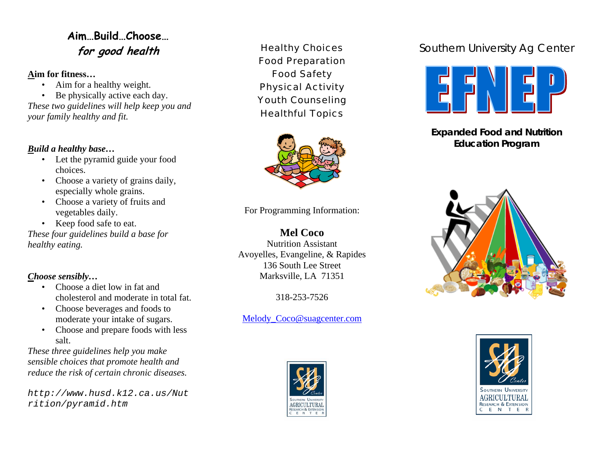## **Aim…Build…Choose… for good health**

#### **Aim for fitness…**

- Aim for a healthy weight.
- Be physically active each day.

*These two guidelines will help keep you and your family healthy and fit.* 

#### *Build a healthy base…*

- Let the pyramid guide your food choices.
- Choose a variety of grains daily, especially whole grains.
- Choose a variety of fruits and vegetables daily.
- Keep food safe to eat.

*These four guidelines build a base for healthy eating.*

### *Choose sensibly…*

- Choose a diet low in fat and cholesterol and moderate in total fat.
- Choose beverages and foods to moderate your intake of sugars.
- Choose and prepare foods with less salt.

*These three guidelines help you make sensible choices that promote health and reduce the risk of certain chronic diseases.* 

*http://www.husd.k12.ca.us/Nut rition/pyramid.htm* 

Healthy Choices Food Preparation Food Safety Physical Activity Youth Counseling Healthful Topics



For Programming Information:

**Mel Coco**  Nutrition Assistant Avoyelles, Evangeline, & Rapides 136 South Lee Street Marksville, LA 71351

318-253-7526

### Melody Coco@suagcenter.com



# Southern University Ag Center



**Expanded Food and Nutrition Education Program**